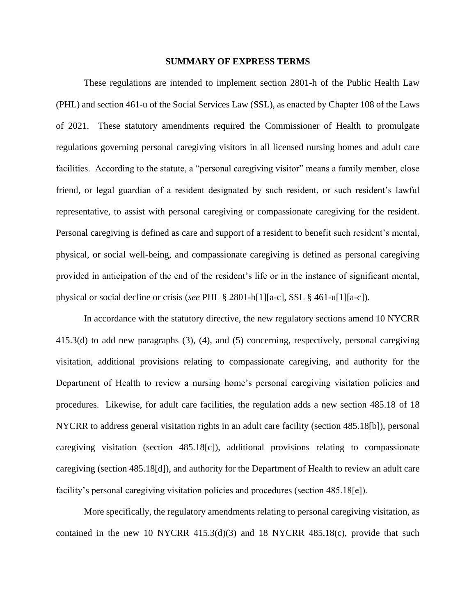#### **SUMMARY OF EXPRESS TERMS**

These regulations are intended to implement section 2801-h of the Public Health Law (PHL) and section 461-u of the Social Services Law (SSL), as enacted by Chapter 108 of the Laws of 2021. These statutory amendments required the Commissioner of Health to promulgate regulations governing personal caregiving visitors in all licensed nursing homes and adult care facilities. According to the statute, a "personal caregiving visitor" means a family member, close friend, or legal guardian of a resident designated by such resident, or such resident's lawful representative, to assist with personal caregiving or compassionate caregiving for the resident. Personal caregiving is defined as care and support of a resident to benefit such resident's mental, physical, or social well-being, and compassionate caregiving is defined as personal caregiving provided in anticipation of the end of the resident's life or in the instance of significant mental, physical or social decline or crisis (*see* PHL § 2801-h[1][a-c], SSL § 461-u[1][a-c]).

In accordance with the statutory directive, the new regulatory sections amend 10 NYCRR 415.3(d) to add new paragraphs (3), (4), and (5) concerning, respectively, personal caregiving visitation, additional provisions relating to compassionate caregiving, and authority for the Department of Health to review a nursing home's personal caregiving visitation policies and procedures. Likewise, for adult care facilities, the regulation adds a new section 485.18 of 18 NYCRR to address general visitation rights in an adult care facility (section 485.18[b]), personal caregiving visitation (section 485.18[c]), additional provisions relating to compassionate caregiving (section 485.18[d]), and authority for the Department of Health to review an adult care facility's personal caregiving visitation policies and procedures (section 485.18[e]).

More specifically, the regulatory amendments relating to personal caregiving visitation, as contained in the new 10 NYCRR  $415.3(d)(3)$  and 18 NYCRR  $485.18(c)$ , provide that such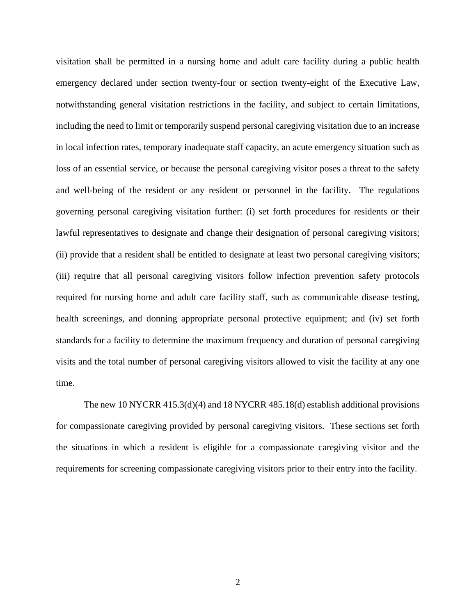visitation shall be permitted in a nursing home and adult care facility during a public health emergency declared under section twenty-four or section twenty-eight of the Executive Law, notwithstanding general visitation restrictions in the facility, and subject to certain limitations, including the need to limit or temporarily suspend personal caregiving visitation due to an increase in local infection rates, temporary inadequate staff capacity, an acute emergency situation such as loss of an essential service, or because the personal caregiving visitor poses a threat to the safety and well-being of the resident or any resident or personnel in the facility. The regulations governing personal caregiving visitation further: (i) set forth procedures for residents or their lawful representatives to designate and change their designation of personal caregiving visitors; (ii) provide that a resident shall be entitled to designate at least two personal caregiving visitors; (iii) require that all personal caregiving visitors follow infection prevention safety protocols required for nursing home and adult care facility staff, such as communicable disease testing, health screenings, and donning appropriate personal protective equipment; and (iv) set forth standards for a facility to determine the maximum frequency and duration of personal caregiving visits and the total number of personal caregiving visitors allowed to visit the facility at any one time.

The new 10 NYCRR 415.3(d)(4) and 18 NYCRR 485.18(d) establish additional provisions for compassionate caregiving provided by personal caregiving visitors. These sections set forth the situations in which a resident is eligible for a compassionate caregiving visitor and the requirements for screening compassionate caregiving visitors prior to their entry into the facility.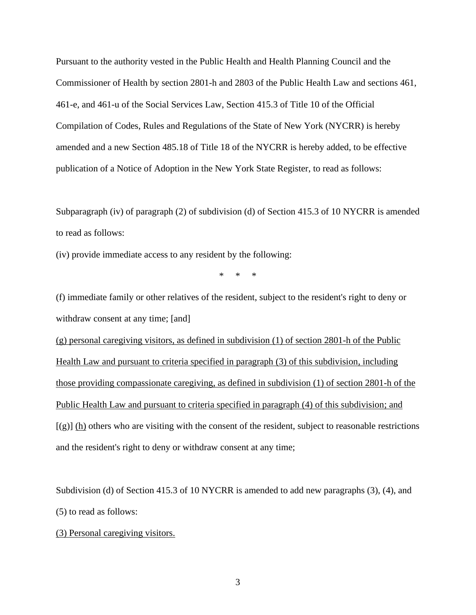Pursuant to the authority vested in the Public Health and Health Planning Council and the Commissioner of Health by section 2801-h and 2803 of the Public Health Law and sections 461, 461-e, and 461-u of the Social Services Law, Section 415.3 of Title 10 of the Official Compilation of Codes, Rules and Regulations of the State of New York (NYCRR) is hereby amended and a new Section 485.18 of Title 18 of the NYCRR is hereby added, to be effective publication of a Notice of Adoption in the New York State Register, to read as follows:

Subparagraph (iv) of paragraph (2) of subdivision (d) of Section 415.3 of 10 NYCRR is amended to read as follows:

(iv) provide immediate access to any resident by the following:

\* \* \*

(f) immediate family or other relatives of the resident, subject to the resident's right to deny or withdraw consent at any time; [and] (g) personal caregiving visitors, as defined in subdivision (1) of section 2801-h of the Public Health Law and pursuant to criteria specified in paragraph (3) of this subdivision, including those providing compassionate caregiving, as defined in subdivision (1) of section 2801-h of the Public Health Law and pursuant to criteria specified in paragraph (4) of this subdivision; and  $[(g)]$  (h) others who are visiting with the consent of the resident, subject to reasonable restrictions and the resident's right to deny or withdraw consent at any time;

Subdivision (d) of Section 415.3 of 10 NYCRR is amended to add new paragraphs (3), (4), and (5) to read as follows:

(3) Personal caregiving visitors.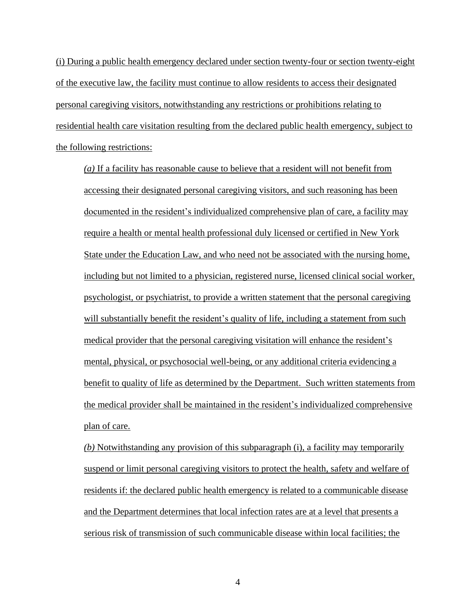(i) During a public health emergency declared under section twenty-four or section twenty-eight of the executive law, the facility must continue to allow residents to access their designated personal caregiving visitors, notwithstanding any restrictions or prohibitions relating to residential health care visitation resulting from the declared public health emergency, subject to the following restrictions:

*(a)* If a facility has reasonable cause to believe that a resident will not benefit from accessing their designated personal caregiving visitors, and such reasoning has been documented in the resident's individualized comprehensive plan of care, a facility may require a health or mental health professional duly licensed or certified in New York State under the Education Law, and who need not be associated with the nursing home, including but not limited to a physician, registered nurse, licensed clinical social worker, psychologist, or psychiatrist, to provide a written statement that the personal caregiving will substantially benefit the resident's quality of life, including a statement from such medical provider that the personal caregiving visitation will enhance the resident's mental, physical, or psychosocial well-being, or any additional criteria evidencing a benefit to quality of life as determined by the Department. Such written statements from the medical provider shall be maintained in the resident's individualized comprehensive plan of care.

*(b)* Notwithstanding any provision of this subparagraph (i), a facility may temporarily suspend or limit personal caregiving visitors to protect the health, safety and welfare of residents if: the declared public health emergency is related to a communicable disease and the Department determines that local infection rates are at a level that presents a serious risk of transmission of such communicable disease within local facilities; the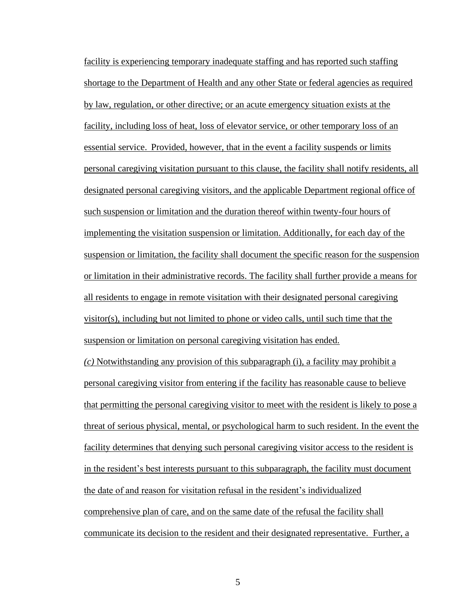facility is experiencing temporary inadequate staffing and has reported such staffing shortage to the Department of Health and any other State or federal agencies as required by law, regulation, or other directive; or an acute emergency situation exists at the facility, including loss of heat, loss of elevator service, or other temporary loss of an essential service. Provided, however, that in the event a facility suspends or limits personal caregiving visitation pursuant to this clause, the facility shall notify residents, all designated personal caregiving visitors, and the applicable Department regional office of such suspension or limitation and the duration thereof within twenty-four hours of implementing the visitation suspension or limitation. Additionally, for each day of the suspension or limitation, the facility shall document the specific reason for the suspension or limitation in their administrative records. The facility shall further provide a means for all residents to engage in remote visitation with their designated personal caregiving visitor(s), including but not limited to phone or video calls, until such time that the suspension or limitation on personal caregiving visitation has ended.

*(c)* Notwithstanding any provision of this subparagraph (i), a facility may prohibit a personal caregiving visitor from entering if the facility has reasonable cause to believe that permitting the personal caregiving visitor to meet with the resident is likely to pose a threat of serious physical, mental, or psychological harm to such resident. In the event the facility determines that denying such personal caregiving visitor access to the resident is in the resident's best interests pursuant to this subparagraph, the facility must document the date of and reason for visitation refusal in the resident's individualized comprehensive plan of care, and on the same date of the refusal the facility shall communicate its decision to the resident and their designated representative. Further, a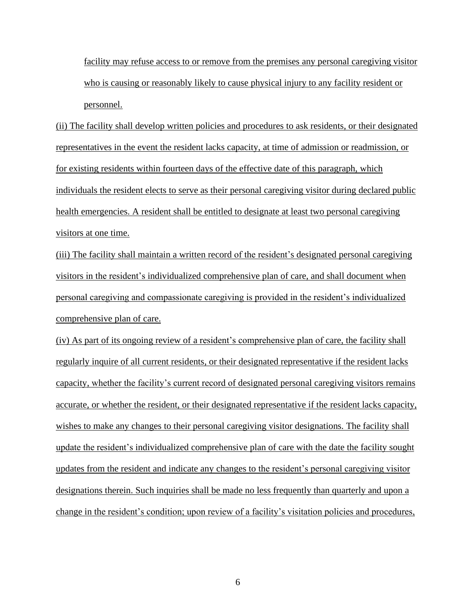facility may refuse access to or remove from the premises any personal caregiving visitor who is causing or reasonably likely to cause physical injury to any facility resident or personnel.

(ii) The facility shall develop written policies and procedures to ask residents, or their designated representatives in the event the resident lacks capacity, at time of admission or readmission, or for existing residents within fourteen days of the effective date of this paragraph, which individuals the resident elects to serve as their personal caregiving visitor during declared public health emergencies. A resident shall be entitled to designate at least two personal caregiving visitors at one time.

(iii) The facility shall maintain a written record of the resident's designated personal caregiving visitors in the resident's individualized comprehensive plan of care, and shall document when personal caregiving and compassionate caregiving is provided in the resident's individualized comprehensive plan of care.

(iv) As part of its ongoing review of a resident's comprehensive plan of care, the facility shall regularly inquire of all current residents, or their designated representative if the resident lacks capacity, whether the facility's current record of designated personal caregiving visitors remains accurate, or whether the resident, or their designated representative if the resident lacks capacity, wishes to make any changes to their personal caregiving visitor designations. The facility shall update the resident's individualized comprehensive plan of care with the date the facility sought updates from the resident and indicate any changes to the resident's personal caregiving visitor designations therein. Such inquiries shall be made no less frequently than quarterly and upon a change in the resident's condition; upon review of a facility's visitation policies and procedures,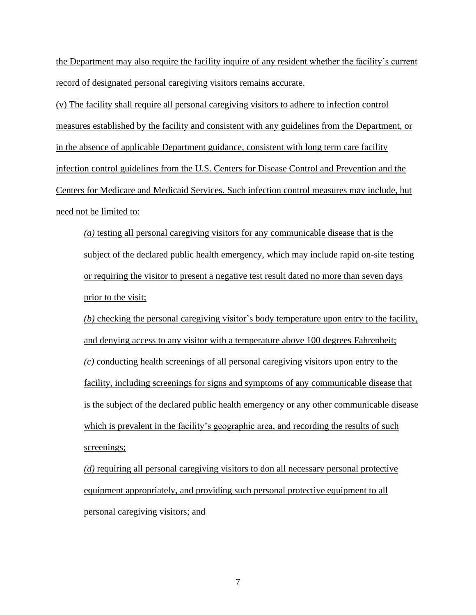the Department may also require the facility inquire of any resident whether the facility's current record of designated personal caregiving visitors remains accurate.

(v) The facility shall require all personal caregiving visitors to adhere to infection control measures established by the facility and consistent with any guidelines from the Department, or in the absence of applicable Department guidance, consistent with long term care facility infection control guidelines from the U.S. Centers for Disease Control and Prevention and the Centers for Medicare and Medicaid Services. Such infection control measures may include, but need not be limited to:

*(a)* testing all personal caregiving visitors for any communicable disease that is the subject of the declared public health emergency, which may include rapid on-site testing or requiring the visitor to present a negative test result dated no more than seven days prior to the visit;

*(b)* checking the personal caregiving visitor's body temperature upon entry to the facility, and denying access to any visitor with a temperature above 100 degrees Fahrenheit; *(c)* conducting health screenings of all personal caregiving visitors upon entry to the facility, including screenings for signs and symptoms of any communicable disease that is the subject of the declared public health emergency or any other communicable disease which is prevalent in the facility's geographic area, and recording the results of such screenings;

*(d)* requiring all personal caregiving visitors to don all necessary personal protective equipment appropriately, and providing such personal protective equipment to all personal caregiving visitors; and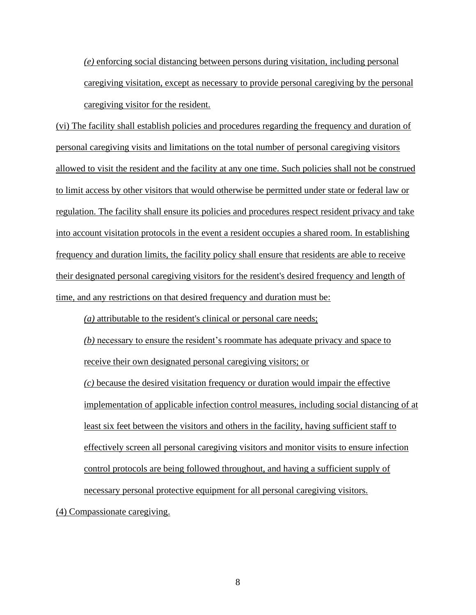*(e)* enforcing social distancing between persons during visitation, including personal caregiving visitation, except as necessary to provide personal caregiving by the personal caregiving visitor for the resident.

(vi) The facility shall establish policies and procedures regarding the frequency and duration of personal caregiving visits and limitations on the total number of personal caregiving visitors allowed to visit the resident and the facility at any one time. Such policies shall not be construed to limit access by other visitors that would otherwise be permitted under state or federal law or regulation. The facility shall ensure its policies and procedures respect resident privacy and take into account visitation protocols in the event a resident occupies a shared room. In establishing frequency and duration limits, the facility policy shall ensure that residents are able to receive their designated personal caregiving visitors for the resident's desired frequency and length of time, and any restrictions on that desired frequency and duration must be:

*(a)* attributable to the resident's clinical or personal care needs;

*(b)* necessary to ensure the resident's roommate has adequate privacy and space to receive their own designated personal caregiving visitors; or

*(c)* because the desired visitation frequency or duration would impair the effective implementation of applicable infection control measures, including social distancing of at least six feet between the visitors and others in the facility, having sufficient staff to effectively screen all personal caregiving visitors and monitor visits to ensure infection control protocols are being followed throughout, and having a sufficient supply of necessary personal protective equipment for all personal caregiving visitors.

(4) Compassionate caregiving.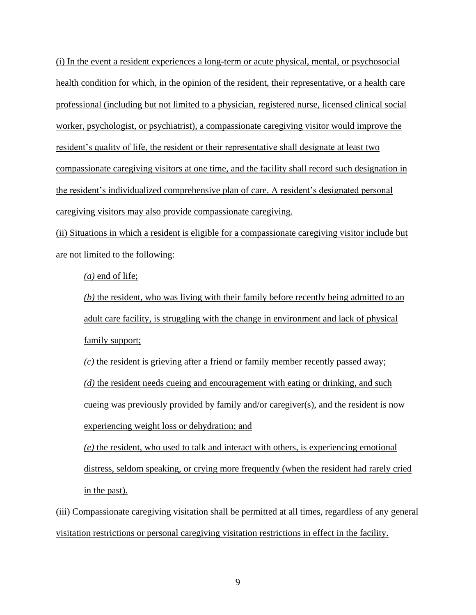(i) In the event a resident experiences a long-term or acute physical, mental, or psychosocial health condition for which, in the opinion of the resident, their representative, or a health care professional (including but not limited to a physician, registered nurse, licensed clinical social worker, psychologist, or psychiatrist), a compassionate caregiving visitor would improve the resident's quality of life, the resident or their representative shall designate at least two compassionate caregiving visitors at one time, and the facility shall record such designation in the resident's individualized comprehensive plan of care. A resident's designated personal caregiving visitors may also provide compassionate caregiving.

(ii) Situations in which a resident is eligible for a compassionate caregiving visitor include but are not limited to the following:

*(a)* end of life;

*(b)* the resident, who was living with their family before recently being admitted to an adult care facility, is struggling with the change in environment and lack of physical family support;

*(c)* the resident is grieving after a friend or family member recently passed away; *(d)* the resident needs cueing and encouragement with eating or drinking, and such cueing was previously provided by family and/or caregiver(s), and the resident is now experiencing weight loss or dehydration; and

*(e)* the resident, who used to talk and interact with others, is experiencing emotional distress, seldom speaking, or crying more frequently (when the resident had rarely cried in the past).

(iii) Compassionate caregiving visitation shall be permitted at all times, regardless of any general visitation restrictions or personal caregiving visitation restrictions in effect in the facility.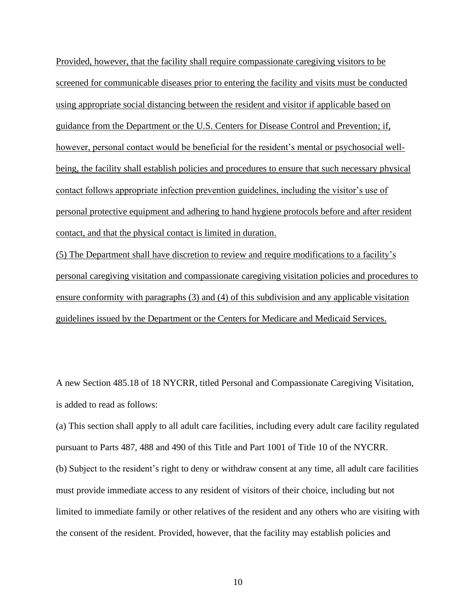Provided, however, that the facility shall require compassionate caregiving visitors to be screened for communicable diseases prior to entering the facility and visits must be conducted using appropriate social distancing between the resident and visitor if applicable based on guidance from the Department or the U.S. Centers for Disease Control and Prevention; if, however, personal contact would be beneficial for the resident's mental or psychosocial wellbeing, the facility shall establish policies and procedures to ensure that such necessary physical contact follows appropriate infection prevention guidelines, including the visitor's use of personal protective equipment and adhering to hand hygiene protocols before and after resident contact, and that the physical contact is limited in duration.

(5) The Department shall have discretion to review and require modifications to a facility's personal caregiving visitation and compassionate caregiving visitation policies and procedures to ensure conformity with paragraphs (3) and (4) of this subdivision and any applicable visitation guidelines issued by the Department or the Centers for Medicare and Medicaid Services.

A new Section 485.18 of 18 NYCRR, titled Personal and Compassionate Caregiving Visitation, is added to read as follows:

(a) This section shall apply to all adult care facilities, including every adult care facility regulated pursuant to Parts 487, 488 and 490 of this Title and Part 1001 of Title 10 of the NYCRR. (b) Subject to the resident's right to deny or withdraw consent at any time, all adult care facilities must provide immediate access to any resident of visitors of their choice, including but not limited to immediate family or other relatives of the resident and any others who are visiting with the consent of the resident. Provided, however, that the facility may establish policies and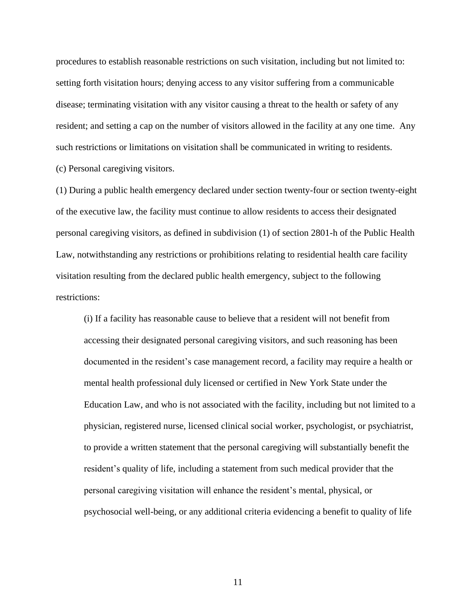procedures to establish reasonable restrictions on such visitation, including but not limited to: setting forth visitation hours; denying access to any visitor suffering from a communicable disease; terminating visitation with any visitor causing a threat to the health or safety of any resident; and setting a cap on the number of visitors allowed in the facility at any one time. Any such restrictions or limitations on visitation shall be communicated in writing to residents. (c) Personal caregiving visitors.

(1) During a public health emergency declared under section twenty-four or section twenty-eight of the executive law, the facility must continue to allow residents to access their designated personal caregiving visitors, as defined in subdivision (1) of section 2801-h of the Public Health Law, notwithstanding any restrictions or prohibitions relating to residential health care facility visitation resulting from the declared public health emergency, subject to the following restrictions:

(i) If a facility has reasonable cause to believe that a resident will not benefit from accessing their designated personal caregiving visitors, and such reasoning has been documented in the resident's case management record, a facility may require a health or mental health professional duly licensed or certified in New York State under the Education Law, and who is not associated with the facility, including but not limited to a physician, registered nurse, licensed clinical social worker, psychologist, or psychiatrist, to provide a written statement that the personal caregiving will substantially benefit the resident's quality of life, including a statement from such medical provider that the personal caregiving visitation will enhance the resident's mental, physical, or psychosocial well-being, or any additional criteria evidencing a benefit to quality of life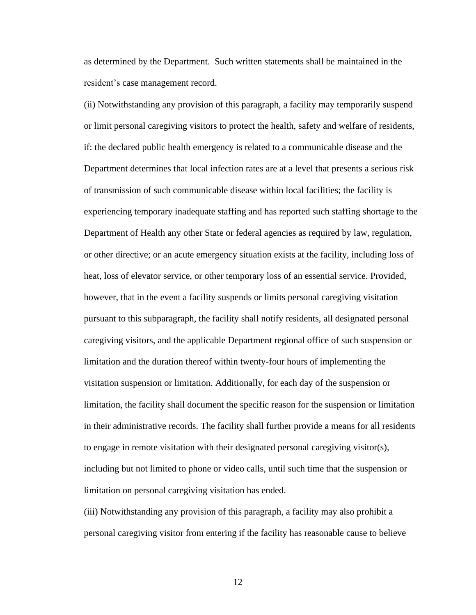as determined by the Department. Such written statements shall be maintained in the resident's case management record.

(ii) Notwithstanding any provision of this paragraph, a facility may temporarily suspend or limit personal caregiving visitors to protect the health, safety and welfare of residents, if: the declared public health emergency is related to a communicable disease and the Department determines that local infection rates are at a level that presents a serious risk of transmission of such communicable disease within local facilities; the facility is experiencing temporary inadequate staffing and has reported such staffing shortage to the Department of Health any other State or federal agencies as required by law, regulation, or other directive; or an acute emergency situation exists at the facility, including loss of heat, loss of elevator service, or other temporary loss of an essential service. Provided, however, that in the event a facility suspends or limits personal caregiving visitation pursuant to this subparagraph, the facility shall notify residents, all designated personal caregiving visitors, and the applicable Department regional office of such suspension or limitation and the duration thereof within twenty-four hours of implementing the visitation suspension or limitation. Additionally, for each day of the suspension or limitation, the facility shall document the specific reason for the suspension or limitation in their administrative records. The facility shall further provide a means for all residents to engage in remote visitation with their designated personal caregiving visitor(s), including but not limited to phone or video calls, until such time that the suspension or limitation on personal caregiving visitation has ended.

(iii) Notwithstanding any provision of this paragraph, a facility may also prohibit a personal caregiving visitor from entering if the facility has reasonable cause to believe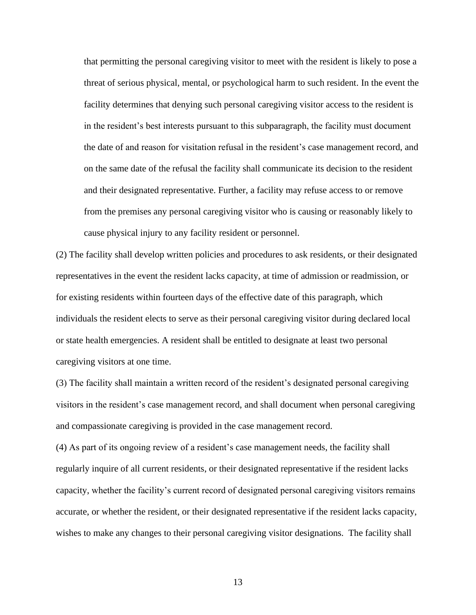that permitting the personal caregiving visitor to meet with the resident is likely to pose a threat of serious physical, mental, or psychological harm to such resident. In the event the facility determines that denying such personal caregiving visitor access to the resident is in the resident's best interests pursuant to this subparagraph, the facility must document the date of and reason for visitation refusal in the resident's case management record, and on the same date of the refusal the facility shall communicate its decision to the resident and their designated representative. Further, a facility may refuse access to or remove from the premises any personal caregiving visitor who is causing or reasonably likely to cause physical injury to any facility resident or personnel.

(2) The facility shall develop written policies and procedures to ask residents, or their designated representatives in the event the resident lacks capacity, at time of admission or readmission, or for existing residents within fourteen days of the effective date of this paragraph, which individuals the resident elects to serve as their personal caregiving visitor during declared local or state health emergencies. A resident shall be entitled to designate at least two personal caregiving visitors at one time.

(3) The facility shall maintain a written record of the resident's designated personal caregiving visitors in the resident's case management record, and shall document when personal caregiving and compassionate caregiving is provided in the case management record.

(4) As part of its ongoing review of a resident's case management needs, the facility shall regularly inquire of all current residents, or their designated representative if the resident lacks capacity, whether the facility's current record of designated personal caregiving visitors remains accurate, or whether the resident, or their designated representative if the resident lacks capacity, wishes to make any changes to their personal caregiving visitor designations. The facility shall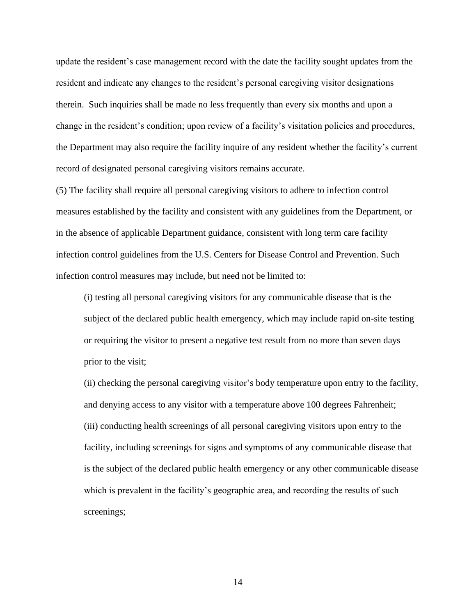update the resident's case management record with the date the facility sought updates from the resident and indicate any changes to the resident's personal caregiving visitor designations therein. Such inquiries shall be made no less frequently than every six months and upon a change in the resident's condition; upon review of a facility's visitation policies and procedures, the Department may also require the facility inquire of any resident whether the facility's current record of designated personal caregiving visitors remains accurate.

(5) The facility shall require all personal caregiving visitors to adhere to infection control measures established by the facility and consistent with any guidelines from the Department, or in the absence of applicable Department guidance, consistent with long term care facility infection control guidelines from the U.S. Centers for Disease Control and Prevention. Such infection control measures may include, but need not be limited to:

(i) testing all personal caregiving visitors for any communicable disease that is the subject of the declared public health emergency, which may include rapid on-site testing or requiring the visitor to present a negative test result from no more than seven days prior to the visit;

(ii) checking the personal caregiving visitor's body temperature upon entry to the facility, and denying access to any visitor with a temperature above 100 degrees Fahrenheit; (iii) conducting health screenings of all personal caregiving visitors upon entry to the facility, including screenings for signs and symptoms of any communicable disease that is the subject of the declared public health emergency or any other communicable disease which is prevalent in the facility's geographic area, and recording the results of such screenings;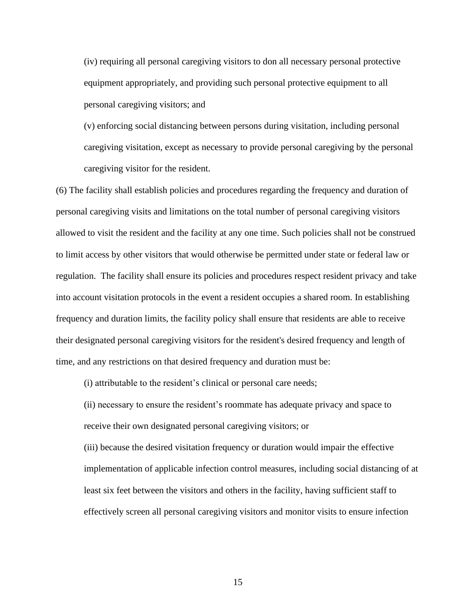(iv) requiring all personal caregiving visitors to don all necessary personal protective equipment appropriately, and providing such personal protective equipment to all personal caregiving visitors; and

(v) enforcing social distancing between persons during visitation, including personal caregiving visitation, except as necessary to provide personal caregiving by the personal caregiving visitor for the resident.

(6) The facility shall establish policies and procedures regarding the frequency and duration of personal caregiving visits and limitations on the total number of personal caregiving visitors allowed to visit the resident and the facility at any one time. Such policies shall not be construed to limit access by other visitors that would otherwise be permitted under state or federal law or regulation. The facility shall ensure its policies and procedures respect resident privacy and take into account visitation protocols in the event a resident occupies a shared room. In establishing frequency and duration limits, the facility policy shall ensure that residents are able to receive their designated personal caregiving visitors for the resident's desired frequency and length of time, and any restrictions on that desired frequency and duration must be:

(i) attributable to the resident's clinical or personal care needs;

(ii) necessary to ensure the resident's roommate has adequate privacy and space to receive their own designated personal caregiving visitors; or

(iii) because the desired visitation frequency or duration would impair the effective implementation of applicable infection control measures, including social distancing of at least six feet between the visitors and others in the facility, having sufficient staff to effectively screen all personal caregiving visitors and monitor visits to ensure infection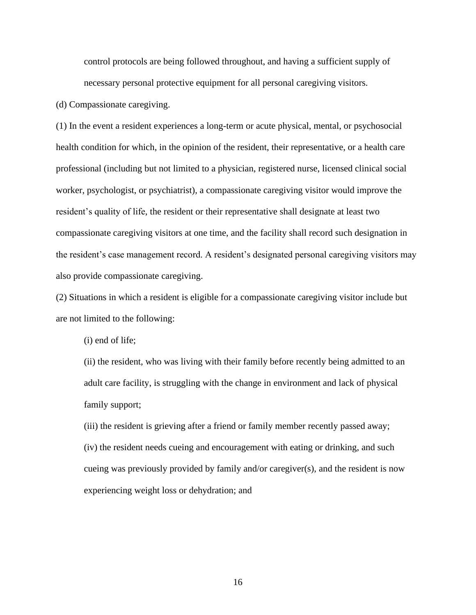control protocols are being followed throughout, and having a sufficient supply of necessary personal protective equipment for all personal caregiving visitors.

(d) Compassionate caregiving.

(1) In the event a resident experiences a long-term or acute physical, mental, or psychosocial health condition for which, in the opinion of the resident, their representative, or a health care professional (including but not limited to a physician, registered nurse, licensed clinical social worker, psychologist, or psychiatrist), a compassionate caregiving visitor would improve the resident's quality of life, the resident or their representative shall designate at least two compassionate caregiving visitors at one time, and the facility shall record such designation in the resident's case management record. A resident's designated personal caregiving visitors may also provide compassionate caregiving.

(2) Situations in which a resident is eligible for a compassionate caregiving visitor include but are not limited to the following:

(i) end of life;

(ii) the resident, who was living with their family before recently being admitted to an adult care facility, is struggling with the change in environment and lack of physical family support;

(iii) the resident is grieving after a friend or family member recently passed away; (iv) the resident needs cueing and encouragement with eating or drinking, and such cueing was previously provided by family and/or caregiver(s), and the resident is now experiencing weight loss or dehydration; and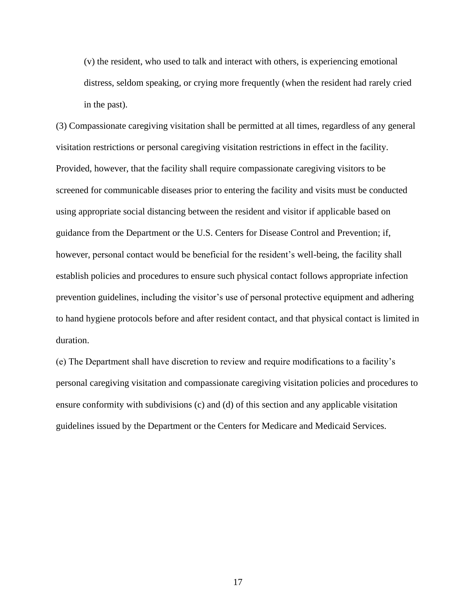(v) the resident, who used to talk and interact with others, is experiencing emotional distress, seldom speaking, or crying more frequently (when the resident had rarely cried in the past).

(3) Compassionate caregiving visitation shall be permitted at all times, regardless of any general visitation restrictions or personal caregiving visitation restrictions in effect in the facility. Provided, however, that the facility shall require compassionate caregiving visitors to be screened for communicable diseases prior to entering the facility and visits must be conducted using appropriate social distancing between the resident and visitor if applicable based on guidance from the Department or the U.S. Centers for Disease Control and Prevention; if, however, personal contact would be beneficial for the resident's well-being, the facility shall establish policies and procedures to ensure such physical contact follows appropriate infection prevention guidelines, including the visitor's use of personal protective equipment and adhering to hand hygiene protocols before and after resident contact, and that physical contact is limited in duration.

(e) The Department shall have discretion to review and require modifications to a facility's personal caregiving visitation and compassionate caregiving visitation policies and procedures to ensure conformity with subdivisions (c) and (d) of this section and any applicable visitation guidelines issued by the Department or the Centers for Medicare and Medicaid Services.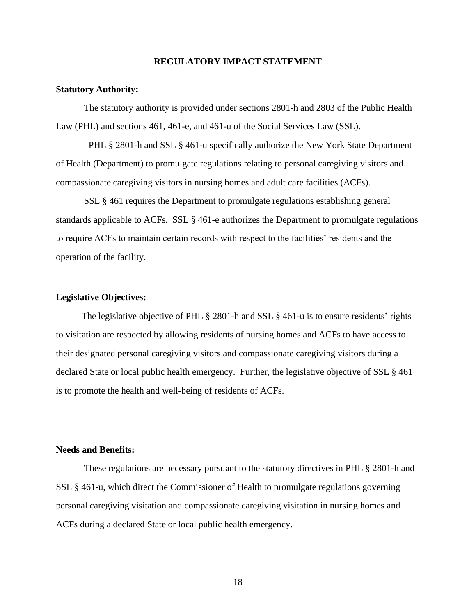#### **REGULATORY IMPACT STATEMENT**

#### **Statutory Authority:**

The statutory authority is provided under sections 2801-h and 2803 of the Public Health Law (PHL) and sections 461, 461-e, and 461-u of the Social Services Law (SSL).

PHL § 2801-h and SSL § 461-u specifically authorize the New York State Department of Health (Department) to promulgate regulations relating to personal caregiving visitors and compassionate caregiving visitors in nursing homes and adult care facilities (ACFs).

SSL § 461 requires the Department to promulgate regulations establishing general standards applicable to ACFs. SSL § 461-e authorizes the Department to promulgate regulations to require ACFs to maintain certain records with respect to the facilities' residents and the operation of the facility.

#### **Legislative Objectives:**

The legislative objective of PHL § 2801-h and SSL § 461-u is to ensure residents' rights to visitation are respected by allowing residents of nursing homes and ACFs to have access to their designated personal caregiving visitors and compassionate caregiving visitors during a declared State or local public health emergency. Further, the legislative objective of SSL § 461 is to promote the health and well-being of residents of ACFs.

# **Needs and Benefits:**

These regulations are necessary pursuant to the statutory directives in PHL § 2801-h and SSL § 461-u, which direct the Commissioner of Health to promulgate regulations governing personal caregiving visitation and compassionate caregiving visitation in nursing homes and ACFs during a declared State or local public health emergency.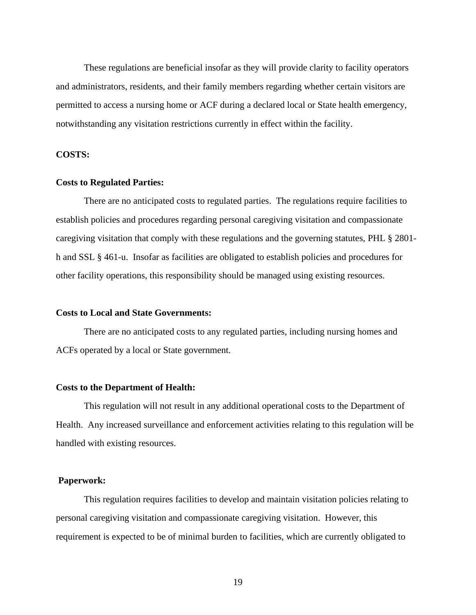These regulations are beneficial insofar as they will provide clarity to facility operators and administrators, residents, and their family members regarding whether certain visitors are permitted to access a nursing home or ACF during a declared local or State health emergency, notwithstanding any visitation restrictions currently in effect within the facility.

## **COSTS:**

#### **Costs to Regulated Parties:**

There are no anticipated costs to regulated parties. The regulations require facilities to establish policies and procedures regarding personal caregiving visitation and compassionate caregiving visitation that comply with these regulations and the governing statutes, PHL § 2801 h and SSL § 461-u. Insofar as facilities are obligated to establish policies and procedures for other facility operations, this responsibility should be managed using existing resources.

#### **Costs to Local and State Governments:**

 There are no anticipated costs to any regulated parties, including nursing homes and ACFs operated by a local or State government.

#### **Costs to the Department of Health:**

 This regulation will not result in any additional operational costs to the Department of Health. Any increased surveillance and enforcement activities relating to this regulation will be handled with existing resources.

# **Paperwork:**

 This regulation requires facilities to develop and maintain visitation policies relating to personal caregiving visitation and compassionate caregiving visitation. However, this requirement is expected to be of minimal burden to facilities, which are currently obligated to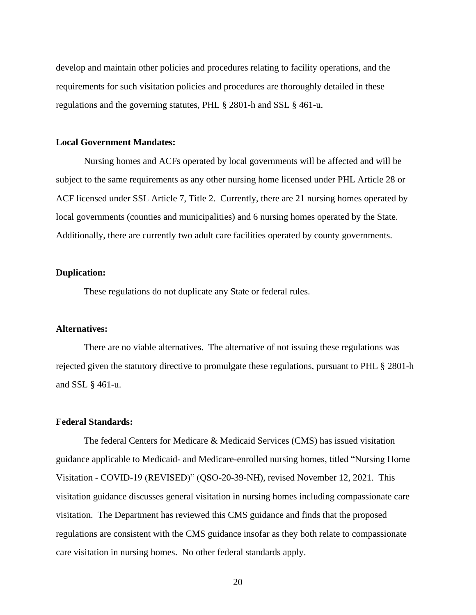develop and maintain other policies and procedures relating to facility operations, and the requirements for such visitation policies and procedures are thoroughly detailed in these regulations and the governing statutes, PHL § 2801-h and SSL § 461-u.

## **Local Government Mandates:**

 Nursing homes and ACFs operated by local governments will be affected and will be subject to the same requirements as any other nursing home licensed under PHL Article 28 or ACF licensed under SSL Article 7, Title 2. Currently, there are 21 nursing homes operated by local governments (counties and municipalities) and 6 nursing homes operated by the State. Additionally, there are currently two adult care facilities operated by county governments.

# **Duplication:**

These regulations do not duplicate any State or federal rules.

# **Alternatives:**

 There are no viable alternatives. The alternative of not issuing these regulations was rejected given the statutory directive to promulgate these regulations, pursuant to PHL § 2801-h and SSL § 461-u.

## **Federal Standards:**

The federal Centers for Medicare & Medicaid Services (CMS) has issued visitation guidance applicable to Medicaid- and Medicare-enrolled nursing homes, titled "Nursing Home Visitation - COVID-19 (REVISED)" (QSO-20-39-NH), revised November 12, 2021. This visitation guidance discusses general visitation in nursing homes including compassionate care visitation. The Department has reviewed this CMS guidance and finds that the proposed regulations are consistent with the CMS guidance insofar as they both relate to compassionate care visitation in nursing homes. No other federal standards apply.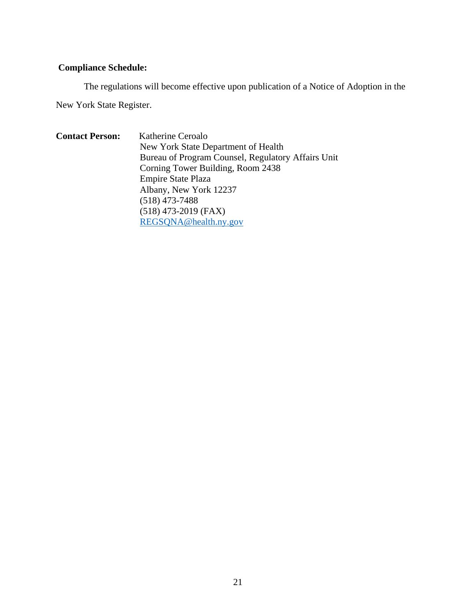# **Compliance Schedule:**

The regulations will become effective upon publication of a Notice of Adoption in the

New York State Register.

**Contact Person:** Katherine Ceroalo New York State Department of Health Bureau of Program Counsel, Regulatory Affairs Unit Corning Tower Building, Room 2438 Empire State Plaza Albany, New York 12237 (518) 473-7488 (518) 473-2019 (FAX) REGSQNA@health.ny.gov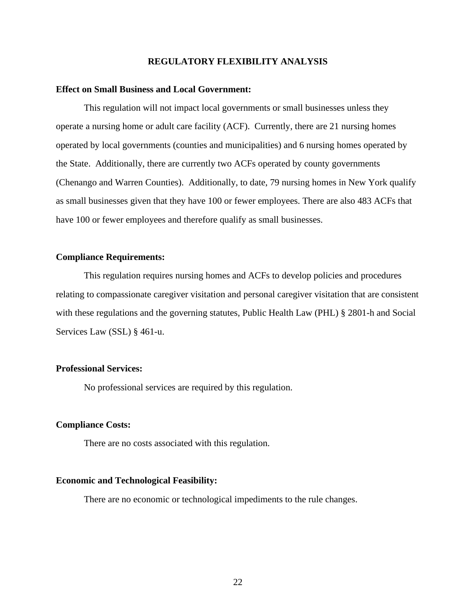## **REGULATORY FLEXIBILITY ANALYSIS**

#### **Effect on Small Business and Local Government:**

 This regulation will not impact local governments or small businesses unless they operate a nursing home or adult care facility (ACF). Currently, there are 21 nursing homes operated by local governments (counties and municipalities) and 6 nursing homes operated by the State. Additionally, there are currently two ACFs operated by county governments (Chenango and Warren Counties). Additionally, to date, 79 nursing homes in New York qualify as small businesses given that they have 100 or fewer employees. There are also 483 ACFs that have 100 or fewer employees and therefore qualify as small businesses.

## **Compliance Requirements:**

This regulation requires nursing homes and ACFs to develop policies and procedures relating to compassionate caregiver visitation and personal caregiver visitation that are consistent with these regulations and the governing statutes, Public Health Law (PHL) § 2801-h and Social Services Law (SSL) § 461-u.

# **Professional Services:**

No professional services are required by this regulation.

#### **Compliance Costs:**

There are no costs associated with this regulation.

#### **Economic and Technological Feasibility:**

There are no economic or technological impediments to the rule changes.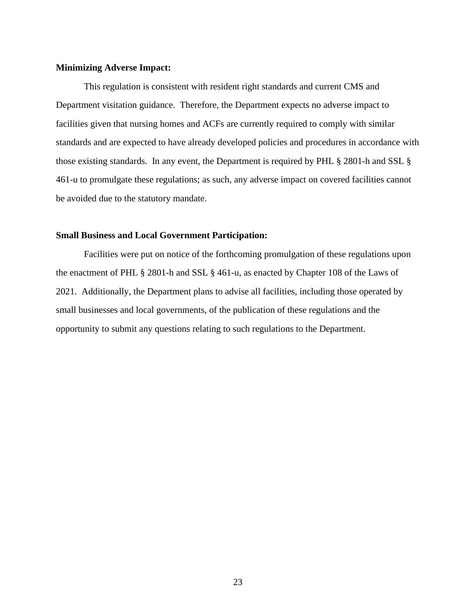## **Minimizing Adverse Impact:**

This regulation is consistent with resident right standards and current CMS and Department visitation guidance. Therefore, the Department expects no adverse impact to facilities given that nursing homes and ACFs are currently required to comply with similar standards and are expected to have already developed policies and procedures in accordance with those existing standards. In any event, the Department is required by PHL § 2801-h and SSL § 461-u to promulgate these regulations; as such, any adverse impact on covered facilities cannot be avoided due to the statutory mandate.

#### **Small Business and Local Government Participation:**

Facilities were put on notice of the forthcoming promulgation of these regulations upon the enactment of PHL § 2801-h and SSL § 461-u, as enacted by Chapter 108 of the Laws of 2021. Additionally, the Department plans to advise all facilities, including those operated by small businesses and local governments, of the publication of these regulations and the opportunity to submit any questions relating to such regulations to the Department.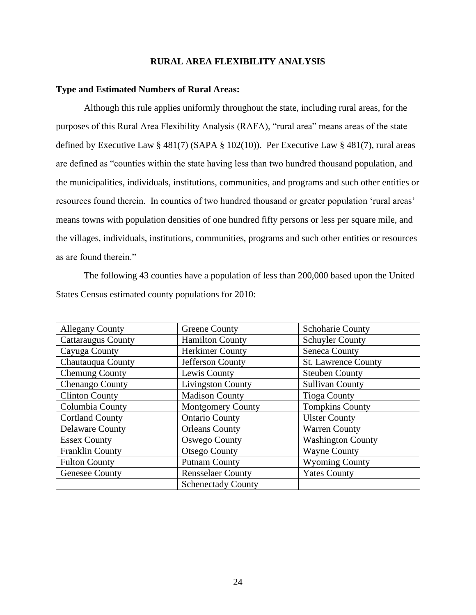## **RURAL AREA FLEXIBILITY ANALYSIS**

#### **Type and Estimated Numbers of Rural Areas:**

Although this rule applies uniformly throughout the state, including rural areas, for the purposes of this Rural Area Flexibility Analysis (RAFA), "rural area" means areas of the state defined by Executive Law § 481(7) (SAPA § 102(10)). Per Executive Law § 481(7), rural areas are defined as "counties within the state having less than two hundred thousand population, and the municipalities, individuals, institutions, communities, and programs and such other entities or resources found therein. In counties of two hundred thousand or greater population 'rural areas' means towns with population densities of one hundred fifty persons or less per square mile, and the villages, individuals, institutions, communities, programs and such other entities or resources as are found therein."

The following 43 counties have a population of less than 200,000 based upon the United States Census estimated county populations for 2010:

| <b>Allegany County</b>    | <b>Greene County</b>      | <b>Schoharie County</b>    |
|---------------------------|---------------------------|----------------------------|
| <b>Cattaraugus County</b> | <b>Hamilton County</b>    | <b>Schuyler County</b>     |
| Cayuga County             | <b>Herkimer County</b>    | <b>Seneca County</b>       |
| Chautauqua County         | Jefferson County          | <b>St. Lawrence County</b> |
| <b>Chemung County</b>     | Lewis County              | <b>Steuben County</b>      |
| Chenango County           | <b>Livingston County</b>  | <b>Sullivan County</b>     |
| <b>Clinton County</b>     | <b>Madison County</b>     | <b>Tioga County</b>        |
| Columbia County           | <b>Montgomery County</b>  | <b>Tompkins County</b>     |
| <b>Cortland County</b>    | <b>Ontario County</b>     | <b>Ulster County</b>       |
| <b>Delaware County</b>    | <b>Orleans County</b>     | <b>Warren County</b>       |
| <b>Essex County</b>       | <b>Oswego County</b>      | <b>Washington County</b>   |
| <b>Franklin County</b>    | <b>Otsego County</b>      | <b>Wayne County</b>        |
| <b>Fulton County</b>      | <b>Putnam County</b>      | <b>Wyoming County</b>      |
| <b>Genesee County</b>     | <b>Rensselaer County</b>  | <b>Yates County</b>        |
|                           | <b>Schenectady County</b> |                            |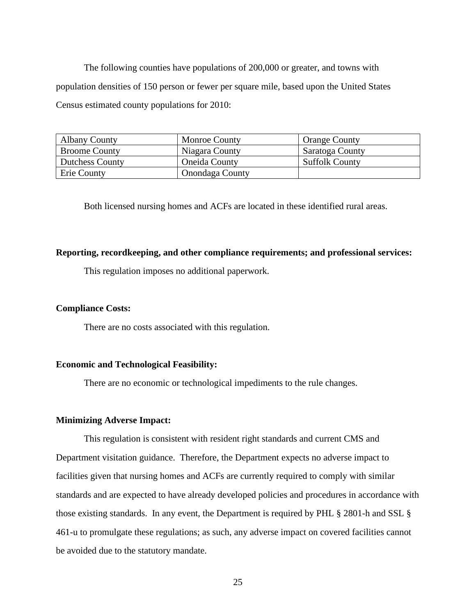The following counties have populations of 200,000 or greater, and towns with population densities of 150 person or fewer per square mile, based upon the United States Census estimated county populations for 2010:

| <b>Albany County</b>   | <b>Monroe County</b>   | <b>Orange County</b>  |
|------------------------|------------------------|-----------------------|
| <b>Broome County</b>   | Niagara County         | Saratoga County       |
| <b>Dutchess County</b> | <b>Oneida County</b>   | <b>Suffolk County</b> |
| Erie County            | <b>Onondaga County</b> |                       |

Both licensed nursing homes and ACFs are located in these identified rural areas.

# **Reporting, recordkeeping, and other compliance requirements; and professional services:**

This regulation imposes no additional paperwork.

#### **Compliance Costs:**

There are no costs associated with this regulation.

## **Economic and Technological Feasibility:**

There are no economic or technological impediments to the rule changes.

#### **Minimizing Adverse Impact:**

This regulation is consistent with resident right standards and current CMS and Department visitation guidance. Therefore, the Department expects no adverse impact to facilities given that nursing homes and ACFs are currently required to comply with similar standards and are expected to have already developed policies and procedures in accordance with those existing standards. In any event, the Department is required by PHL § 2801-h and SSL § 461-u to promulgate these regulations; as such, any adverse impact on covered facilities cannot be avoided due to the statutory mandate.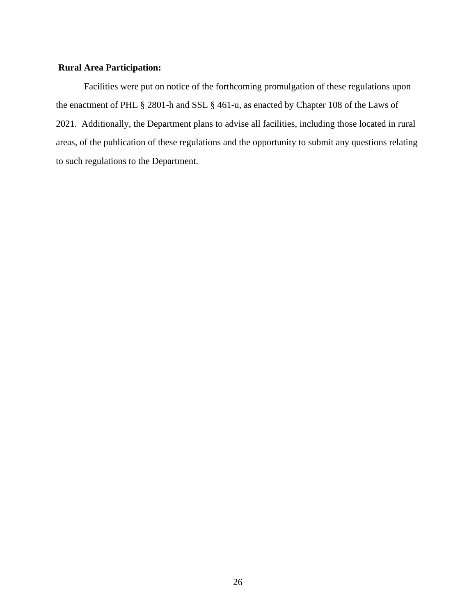# **Rural Area Participation:**

Facilities were put on notice of the forthcoming promulgation of these regulations upon the enactment of PHL § 2801-h and SSL § 461-u, as enacted by Chapter 108 of the Laws of 2021. Additionally, the Department plans to advise all facilities, including those located in rural areas, of the publication of these regulations and the opportunity to submit any questions relating to such regulations to the Department.